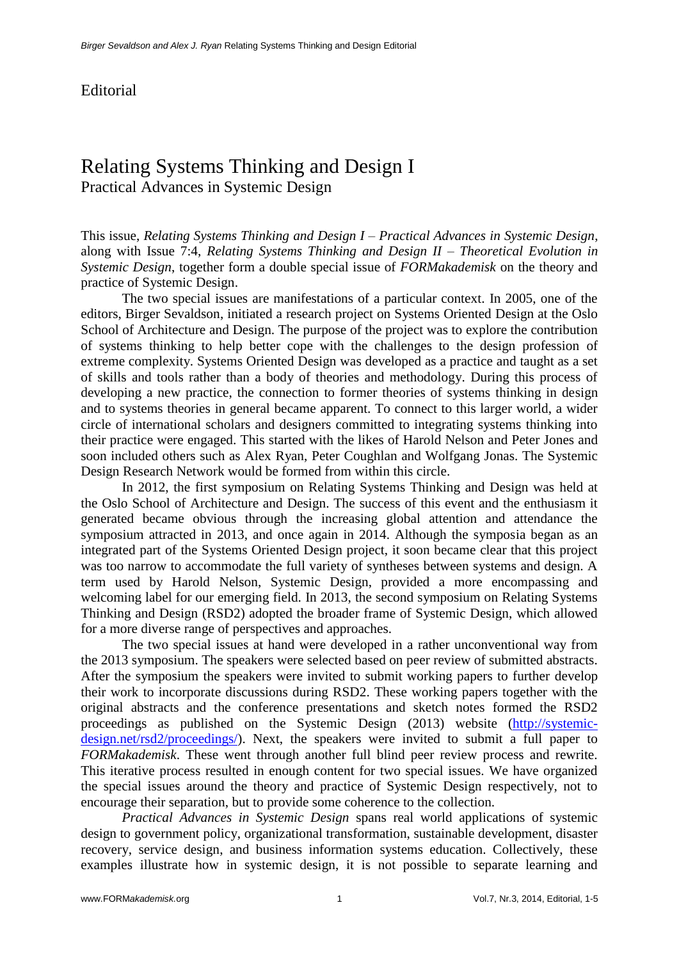## Editorial

# Relating Systems Thinking and Design I Practical Advances in Systemic Design

This issue, *Relating Systems Thinking and Design I – Practical Advances in Systemic Design*, along with Issue 7:4, *Relating Systems Thinking and Design II – Theoretical Evolution in Systemic Design*, together form a double special issue of *FORMakademisk* on the theory and practice of Systemic Design.

The two special issues are manifestations of a particular context. In 2005, one of the editors, Birger Sevaldson, initiated a research project on Systems Oriented Design at the Oslo School of Architecture and Design. The purpose of the project was to explore the contribution of systems thinking to help better cope with the challenges to the design profession of extreme complexity. Systems Oriented Design was developed as a practice and taught as a set of skills and tools rather than a body of theories and methodology. During this process of developing a new practice, the connection to former theories of systems thinking in design and to systems theories in general became apparent. To connect to this larger world, a wider circle of international scholars and designers committed to integrating systems thinking into their practice were engaged. This started with the likes of Harold Nelson and Peter Jones and soon included others such as Alex Ryan, Peter Coughlan and Wolfgang Jonas. The Systemic Design Research Network would be formed from within this circle.

In 2012, the first symposium on Relating Systems Thinking and Design was held at the Oslo School of Architecture and Design. The success of this event and the enthusiasm it generated became obvious through the increasing global attention and attendance the symposium attracted in 2013, and once again in 2014. Although the symposia began as an integrated part of the Systems Oriented Design project, it soon became clear that this project was too narrow to accommodate the full variety of syntheses between systems and design. A term used by Harold Nelson, Systemic Design, provided a more encompassing and welcoming label for our emerging field. In 2013, the second symposium on Relating Systems Thinking and Design (RSD2) adopted the broader frame of Systemic Design, which allowed for a more diverse range of perspectives and approaches.

The two special issues at hand were developed in a rather unconventional way from the 2013 symposium. The speakers were selected based on peer review of submitted abstracts. After the symposium the speakers were invited to submit working papers to further develop their work to incorporate discussions during RSD2. These working papers together with the original abstracts and the conference presentations and sketch notes formed the RSD2 proceedings as published on the Systemic Design (2013) website [\(http://systemic](http://systemic-design.net/rsd2/proceedings/)[design.net/rsd2/proceedings/\)](http://systemic-design.net/rsd2/proceedings/). Next, the speakers were invited to submit a full paper to *FORMakademisk*. These went through another full blind peer review process and rewrite. This iterative process resulted in enough content for two special issues. We have organized the special issues around the theory and practice of Systemic Design respectively, not to encourage their separation, but to provide some coherence to the collection.

*Practical Advances in Systemic Design* spans real world applications of systemic design to government policy, organizational transformation, sustainable development, disaster recovery, service design, and business information systems education. Collectively, these examples illustrate how in systemic design, it is not possible to separate learning and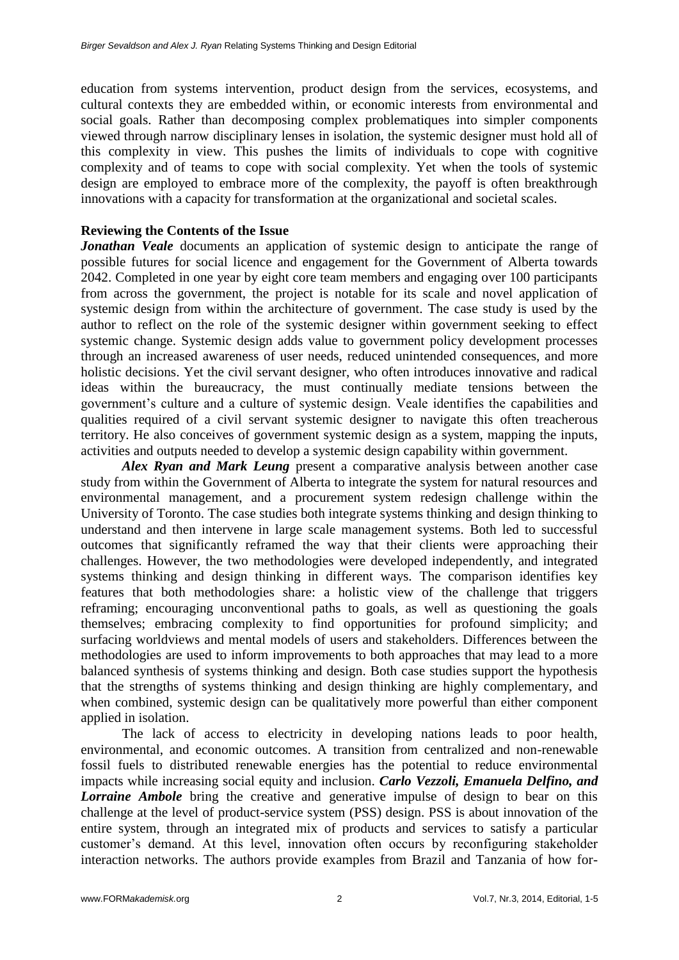education from systems intervention, product design from the services, ecosystems, and cultural contexts they are embedded within, or economic interests from environmental and social goals. Rather than decomposing complex problematiques into simpler components viewed through narrow disciplinary lenses in isolation, the systemic designer must hold all of this complexity in view. This pushes the limits of individuals to cope with cognitive complexity and of teams to cope with social complexity. Yet when the tools of systemic design are employed to embrace more of the complexity, the payoff is often breakthrough innovations with a capacity for transformation at the organizational and societal scales.

### **Reviewing the Contents of the Issue**

*Jonathan Veale* documents an application of systemic design to anticipate the range of possible futures for social licence and engagement for the Government of Alberta towards 2042. Completed in one year by eight core team members and engaging over 100 participants from across the government, the project is notable for its scale and novel application of systemic design from within the architecture of government. The case study is used by the author to reflect on the role of the systemic designer within government seeking to effect systemic change. Systemic design adds value to government policy development processes through an increased awareness of user needs, reduced unintended consequences, and more holistic decisions. Yet the civil servant designer, who often introduces innovative and radical ideas within the bureaucracy, the must continually mediate tensions between the government's culture and a culture of systemic design. Veale identifies the capabilities and qualities required of a civil servant systemic designer to navigate this often treacherous territory. He also conceives of government systemic design as a system, mapping the inputs, activities and outputs needed to develop a systemic design capability within government.

*Alex Ryan and Mark Leung* present a comparative analysis between another case study from within the Government of Alberta to integrate the system for natural resources and environmental management, and a procurement system redesign challenge within the University of Toronto. The case studies both integrate systems thinking and design thinking to understand and then intervene in large scale management systems. Both led to successful outcomes that significantly reframed the way that their clients were approaching their challenges. However, the two methodologies were developed independently, and integrated systems thinking and design thinking in different ways. The comparison identifies key features that both methodologies share: a holistic view of the challenge that triggers reframing; encouraging unconventional paths to goals, as well as questioning the goals themselves; embracing complexity to find opportunities for profound simplicity; and surfacing worldviews and mental models of users and stakeholders. Differences between the methodologies are used to inform improvements to both approaches that may lead to a more balanced synthesis of systems thinking and design. Both case studies support the hypothesis that the strengths of systems thinking and design thinking are highly complementary, and when combined, systemic design can be qualitatively more powerful than either component applied in isolation.

The lack of access to electricity in developing nations leads to poor health, environmental, and economic outcomes. A transition from centralized and non-renewable fossil fuels to distributed renewable energies has the potential to reduce environmental impacts while increasing social equity and inclusion. *Carlo Vezzoli, Emanuela Delfino, and Lorraine Ambole* bring the creative and generative impulse of design to bear on this challenge at the level of product-service system (PSS) design. PSS is about innovation of the entire system, through an integrated mix of products and services to satisfy a particular customer's demand. At this level, innovation often occurs by reconfiguring stakeholder interaction networks. The authors provide examples from Brazil and Tanzania of how for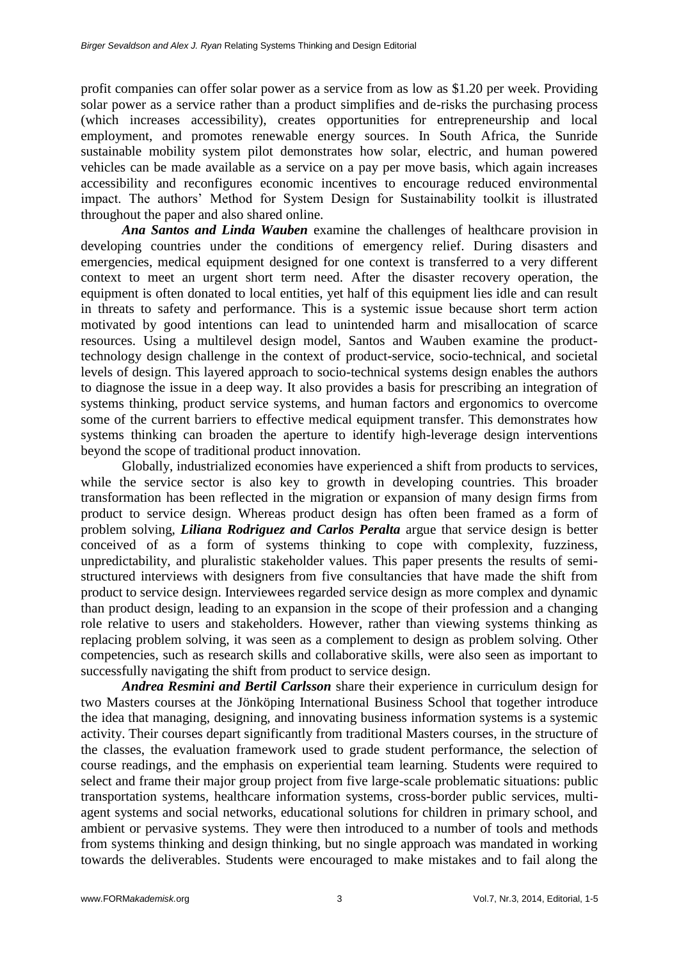profit companies can offer solar power as a service from as low as \$1.20 per week. Providing solar power as a service rather than a product simplifies and de-risks the purchasing process (which increases accessibility), creates opportunities for entrepreneurship and local employment, and promotes renewable energy sources. In South Africa, the Sunride sustainable mobility system pilot demonstrates how solar, electric, and human powered vehicles can be made available as a service on a pay per move basis, which again increases accessibility and reconfigures economic incentives to encourage reduced environmental impact. The authors' Method for System Design for Sustainability toolkit is illustrated throughout the paper and also shared online.

*Ana Santos and Linda Wauben* examine the challenges of healthcare provision in developing countries under the conditions of emergency relief. During disasters and emergencies, medical equipment designed for one context is transferred to a very different context to meet an urgent short term need. After the disaster recovery operation, the equipment is often donated to local entities, yet half of this equipment lies idle and can result in threats to safety and performance. This is a systemic issue because short term action motivated by good intentions can lead to unintended harm and misallocation of scarce resources. Using a multilevel design model, Santos and Wauben examine the producttechnology design challenge in the context of product-service, socio-technical, and societal levels of design. This layered approach to socio-technical systems design enables the authors to diagnose the issue in a deep way. It also provides a basis for prescribing an integration of systems thinking, product service systems, and human factors and ergonomics to overcome some of the current barriers to effective medical equipment transfer. This demonstrates how systems thinking can broaden the aperture to identify high-leverage design interventions beyond the scope of traditional product innovation.

Globally, industrialized economies have experienced a shift from products to services, while the service sector is also key to growth in developing countries. This broader transformation has been reflected in the migration or expansion of many design firms from product to service design. Whereas product design has often been framed as a form of problem solving, *Liliana Rodriguez and Carlos Peralta* argue that service design is better conceived of as a form of systems thinking to cope with complexity, fuzziness, unpredictability, and pluralistic stakeholder values. This paper presents the results of semistructured interviews with designers from five consultancies that have made the shift from product to service design. Interviewees regarded service design as more complex and dynamic than product design, leading to an expansion in the scope of their profession and a changing role relative to users and stakeholders. However, rather than viewing systems thinking as replacing problem solving, it was seen as a complement to design as problem solving. Other competencies, such as research skills and collaborative skills, were also seen as important to successfully navigating the shift from product to service design.

*Andrea Resmini and Bertil Carlsson* share their experience in curriculum design for two Masters courses at the Jönköping International Business School that together introduce the idea that managing, designing, and innovating business information systems is a systemic activity. Their courses depart significantly from traditional Masters courses, in the structure of the classes, the evaluation framework used to grade student performance, the selection of course readings, and the emphasis on experiential team learning. Students were required to select and frame their major group project from five large-scale problematic situations: public transportation systems, healthcare information systems, cross-border public services, multiagent systems and social networks, educational solutions for children in primary school, and ambient or pervasive systems. They were then introduced to a number of tools and methods from systems thinking and design thinking, but no single approach was mandated in working towards the deliverables. Students were encouraged to make mistakes and to fail along the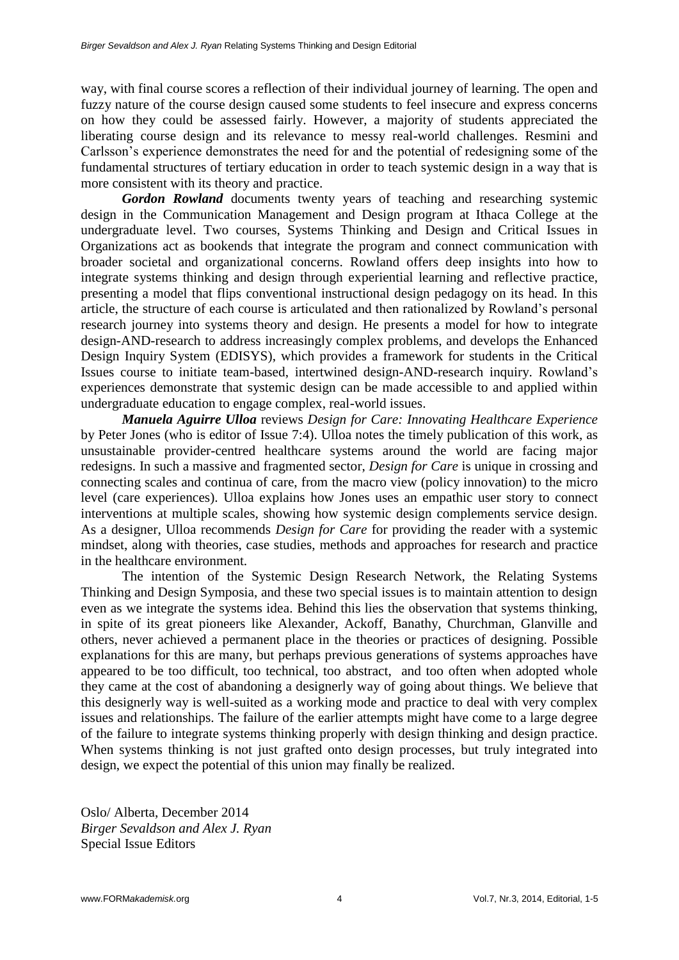way, with final course scores a reflection of their individual journey of learning. The open and fuzzy nature of the course design caused some students to feel insecure and express concerns on how they could be assessed fairly. However, a majority of students appreciated the liberating course design and its relevance to messy real-world challenges. Resmini and Carlsson's experience demonstrates the need for and the potential of redesigning some of the fundamental structures of tertiary education in order to teach systemic design in a way that is more consistent with its theory and practice.

*Gordon Rowland* documents twenty years of teaching and researching systemic design in the Communication Management and Design program at Ithaca College at the undergraduate level. Two courses, Systems Thinking and Design and Critical Issues in Organizations act as bookends that integrate the program and connect communication with broader societal and organizational concerns. Rowland offers deep insights into how to integrate systems thinking and design through experiential learning and reflective practice, presenting a model that flips conventional instructional design pedagogy on its head. In this article, the structure of each course is articulated and then rationalized by Rowland's personal research journey into systems theory and design. He presents a model for how to integrate design-AND-research to address increasingly complex problems, and develops the Enhanced Design Inquiry System (EDISYS), which provides a framework for students in the Critical Issues course to initiate team-based, intertwined design-AND-research inquiry. Rowland's experiences demonstrate that systemic design can be made accessible to and applied within undergraduate education to engage complex, real-world issues.

*Manuela Aguirre Ulloa* reviews *Design for Care: Innovating Healthcare Experience* by Peter Jones (who is editor of Issue 7:4). Ulloa notes the timely publication of this work, as unsustainable provider-centred healthcare systems around the world are facing major redesigns. In such a massive and fragmented sector, *Design for Care* is unique in crossing and connecting scales and continua of care, from the macro view (policy innovation) to the micro level (care experiences). Ulloa explains how Jones uses an empathic user story to connect interventions at multiple scales, showing how systemic design complements service design. As a designer, Ulloa recommends *Design for Care* for providing the reader with a systemic mindset, along with theories, case studies, methods and approaches for research and practice in the healthcare environment.

The intention of the Systemic Design Research Network, the Relating Systems Thinking and Design Symposia, and these two special issues is to maintain attention to design even as we integrate the systems idea. Behind this lies the observation that systems thinking, in spite of its great pioneers like Alexander, Ackoff, Banathy, Churchman, Glanville and others, never achieved a permanent place in the theories or practices of designing. Possible explanations for this are many, but perhaps previous generations of systems approaches have appeared to be too difficult, too technical, too abstract, and too often when adopted whole they came at the cost of abandoning a designerly way of going about things. We believe that this designerly way is well-suited as a working mode and practice to deal with very complex issues and relationships. The failure of the earlier attempts might have come to a large degree of the failure to integrate systems thinking properly with design thinking and design practice. When systems thinking is not just grafted onto design processes, but truly integrated into design, we expect the potential of this union may finally be realized.

Oslo/ Alberta, December 2014 *Birger Sevaldson and Alex J. Ryan* Special Issue Editors